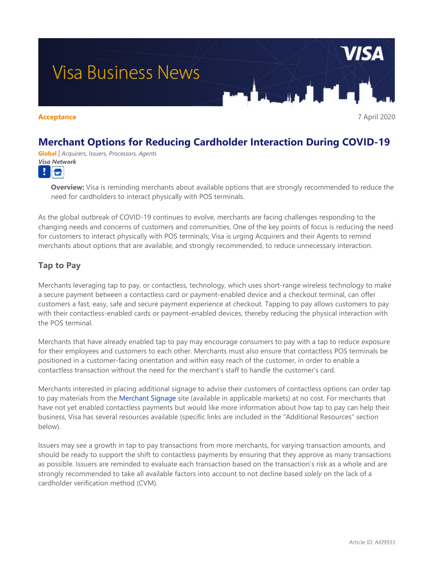# **Visa Business News**

**Acceptance** 7 April 2020

## **Merchant Options for Reducing Cardholder Interaction During COVID-19**

**Global** *| Acquirers, Issuers, Processors, Agents Visa Network*  $\frac{1}{2}$ 

> **Overview:** Visa is reminding merchants about available options that are strongly recommended to reduce the need for cardholders to interact physically with POS terminals.

As the global outbreak of COVID-19 continues to evolve, merchants are facing challenges responding to the changing needs and concerns of customers and communities. One of the key points of focus is reducing the need for customers to interact physically with POS terminals; Visa is urging Acquirers and their Agents to remind merchants about options that are available, and strongly recommended, to reduce unnecessary interaction.

### **Tap to Pay**

Merchants leveraging tap to pay, or contactless, technology, which uses short-range wireless technology to make a secure payment between a contactless card or payment-enabled device and a checkout terminal, can offer customers a fast, easy, safe and secure payment experience at checkout. Tapping to pay allows customers to pay with their contactless-enabled cards or payment-enabled devices, thereby reducing the physical interaction with the POS terminal.

Merchants that have already enabled tap to pay may encourage consumers to pay with a tap to reduce exposure for their employees and customers to each other. Merchants must also ensure that contactless POS terminals be positioned in a customer-facing orientation and within easy reach of the customer, in order to enable a contactless transaction without the need for the merchant's staff to handle the customer's card.

Merchants interested in placing additional signage to advise their customers of contactless options can order tap to pay materials from the [Merchant Signage](https://www.merchantsignage.visa.com/) site (available in applicable markets) at no cost. For merchants that have not yet enabled contactless payments but would like more information about how tap to pay can help their business, Visa has several resources available (specific links are included in the "Additional Resources" section below).

Issuers may see a growth in tap to pay transactions from more merchants, for varying transaction amounts, and should be ready to support the shift to contactless payments by ensuring that they approve as many transactions as possible. Issuers are reminded to evaluate each transaction based on the transaction's risk as a whole and are strongly recommended to take all available factors into account to not decline based *solely* on the lack of a cardholder verification method (CVM).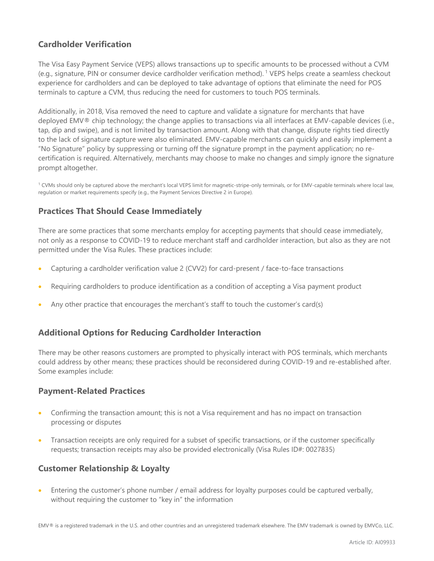### **Cardholder Verification**

The Visa Easy Payment Service (VEPS) allows transactions up to specific amounts to be processed without a CVM (e.g., signature, PIN or consumer device cardholder verification method).<sup>1</sup> VEPS helps create a seamless checkout experience for cardholders and can be deployed to take advantage of options that eliminate the need for POS terminals to capture a CVM, thus reducing the need for customers to touch POS terminals.

Additionally, in 2018, Visa removed the need to capture and validate a signature for merchants that have deployed EMV® chip technology; the change applies to transactions via all interfaces at EMV-capable devices (i.e., tap, dip and swipe), and is not limited by transaction amount. Along with that change, dispute rights tied directly to the lack of signature capture were also eliminated. EMV-capable merchants can quickly and easily implement a "No Signature" policy by suppressing or turning off the signature prompt in the payment application; no recertification is required. Alternatively, merchants may choose to make no changes and simply ignore the signature prompt altogether.

<sup>1</sup> CVMs should only be captured above the merchant's local VEPS limit for magnetic-stripe-only terminals, or for EMV-capable terminals where local law, regulation or market requirements specify (e.g., the Payment Services Directive 2 in Europe).

#### **Practices That Should Cease Immediately**

There are some practices that some merchants employ for accepting payments that should cease immediately, not only as a response to COVID-19 to reduce merchant staff and cardholder interaction, but also as they are not permitted under the Visa Rules. These practices include:

- Capturing a cardholder verification value 2 (CVV2) for card-present / face-to-face transactions
- Requiring cardholders to produce identification as a condition of accepting a Visa payment product
- Any other practice that encourages the merchant's staff to touch the customer's card(s)

#### **Additional Options for Reducing Cardholder Interaction**

There may be other reasons customers are prompted to physically interact with POS terminals, which merchants could address by other means; these practices should be reconsidered during COVID-19 and re-established after. Some examples include:

#### **Payment-Related Practices**

- Confirming the transaction amount; this is not a Visa requirement and has no impact on transaction processing or disputes
- Transaction receipts are only required for a subset of specific transactions, or if the customer specifically requests; transaction receipts may also be provided electronically (Visa Rules ID#: 0027835)

#### **Customer Relationship & Loyalty**

• Entering the customer's phone number / email address for loyalty purposes could be captured verbally, without requiring the customer to "key in" the information